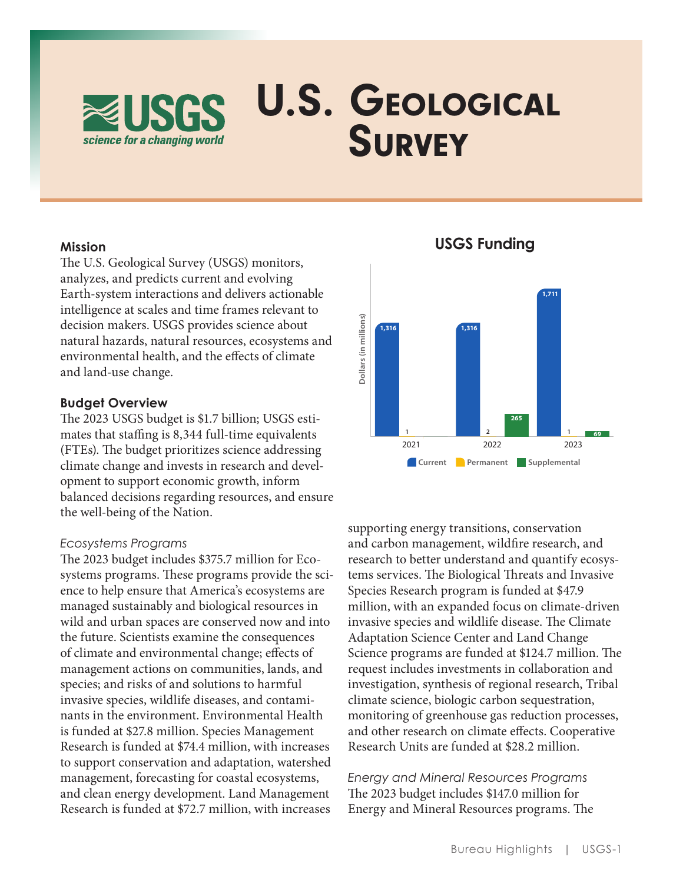

#### **Mission**

The U.S. Geological Survey (USGS) monitors, analyzes, and predicts current and evolving Earth-system interactions and delivers actionable intelligence at scales and time frames relevant to decision makers. USGS provides science about natural hazards, natural resources, ecosystems and environmental health, and the effects of climate and land-use change.

### **Budget Overview**

The 2023 USGS budget is \$1.7 billion; USGS estimates that staffing is 8,344 full-time equivalents (FTEs) . The budget prioritizes science addressing climate change and invests in research and development to support economic growth, inform balanced decisions regarding resources, and ensure the well-being of the Nation.

#### *Ecosystems Programs*

The 2023 budget includes \$375 .7 million for Ecosystems programs . These programs provide the science to help ensure that America's ecosystems are managed sustainably and biological resources in wild and urban spaces are conserved now and into the future. Scientists examine the consequences of climate and environmental change; effects of management actions on communities, lands, and species; and risks of and solutions to harmful invasive species, wildlife diseases, and contaminants in the environment. Environmental Health is funded at \$27.8 million. Species Management Research is funded at \$74 .4 million, with increases to support conservation and adaptation, watershed management, forecasting for coastal ecosystems, and clean energy development. Land Management Research is funded at \$72 .7 million, with increases



**USGS Funding**

supporting energy transitions, conservation and carbon management, wildfire research, and research to better understand and quantify ecosystems services . The Biological Threats and Invasive Species Research program is funded at \$47.9 million, with an expanded focus on climate-driven invasive species and wildlife disease. The Climate Adaptation Science Center and Land Change Science programs are funded at \$124.7 million. The request includes investments in collaboration and investigation, synthesis of regional research, Tribal climate science, biologic carbon sequestration, monitoring of greenhouse gas reduction processes, and other research on climate effects. Cooperative Research Units are funded at \$28.2 million.

*Energy and Mineral Resources Programs* The 2023 budget includes \$147.0 million for Energy and Mineral Resources programs. The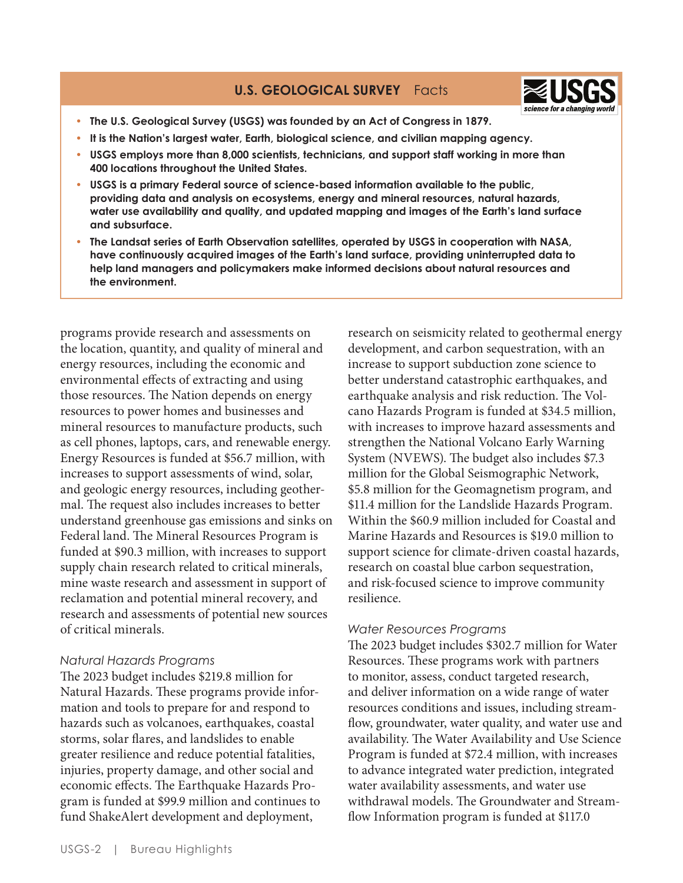# **U.S. GEOLOGICAL SURVEY** Facts



- **• The U.S. Geological Survey (USGS) was founded by an Act of Congress in 1879.**
- **• It is the Nation's largest water, Earth, biological science, and civilian mapping agency.**
- **• USGS employs more than 8,000 scientists, technicians, and support staff working in more than 400 locations throughout the United States.**
- **• USGS is a primary Federal source of science-based information available to the public, providing data and analysis on ecosystems, energy and mineral resources, natural hazards, water use availability and quality, and updated mapping and images of the Earth's land surface and subsurface.**
- **• The Landsat series of Earth Observation satellites, operated by USGS in cooperation with NASA, have continuously acquired images of the Earth's land surface, providing uninterrupted data to help land managers and policymakers make informed decisions about natural resources and the environment.**

programs provide research and assessments on the location, quantity, and quality of mineral and energy resources, including the economic and environmental effects of extracting and using those resources. The Nation depends on energy resources to power homes and businesses and mineral resources to manufacture products, such as cell phones, laptops, cars, and renewable energy. Energy Resources is funded at \$56 .7 million, with increases to support assessments of wind, solar, and geologic energy resources, including geothermal. The request also includes increases to better understand greenhouse gas emissions and sinks on Federal land. The Mineral Resources Program is funded at \$90.3 million, with increases to support supply chain research related to critical minerals, mine waste research and assessment in support of reclamation and potential mineral recovery, and research and assessments of potential new sources of critical minerals .

## *Natural Hazards Programs*

The 2023 budget includes \$219 .8 million for Natural Hazards. These programs provide information and tools to prepare for and respond to hazards such as volcanoes, earthquakes, coastal storms, solar flares, and landslides to enable greater resilience and reduce potential fatalities, injuries, property damage, and other social and economic effects . The Earthquake Hazards Program is funded at \$99 .9 million and continues to fund ShakeAlert development and deployment,

research on seismicity related to geothermal energy development, and carbon sequestration, with an increase to support subduction zone science to better understand catastrophic earthquakes, and earthquake analysis and risk reduction. The Volcano Hazards Program is funded at \$34 .5 million, with increases to improve hazard assessments and strengthen the National Volcano Early Warning System (NVEWS). The budget also includes \$7.3 million for the Global Seismographic Network, \$5 .8 million for the Geomagnetism program, and \$11.4 million for the Landslide Hazards Program. Within the \$60.9 million included for Coastal and Marine Hazards and Resources is \$19 .0 million to support science for climate-driven coastal hazards, research on coastal blue carbon sequestration, and risk-focused science to improve community resilience.

## *Water Resources Programs*

The 2023 budget includes \$302 .7 million for Water Resources. These programs work with partners to monitor, assess, conduct targeted research, and deliver information on a wide range of water resources conditions and issues, including streamflow, groundwater, water quality, and water use and availability. The Water Availability and Use Science Program is funded at \$72 .4 million, with increases to advance integrated water prediction, integrated water availability assessments, and water use withdrawal models . The Groundwater and Streamflow Information program is funded at \$117.0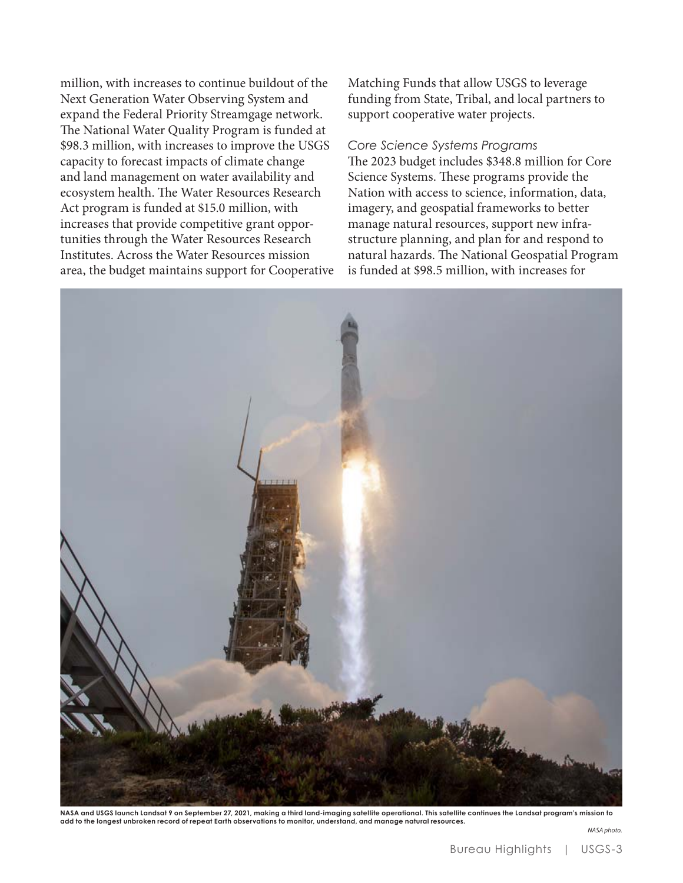million, with increases to continue buildout of the Next Generation Water Observing System and expand the Federal Priority Streamgage network. The National Water Quality Program is funded at \$98.3 million, with increases to improve the USGS capacity to forecast impacts of climate change and land management on water availability and ecosystem health. The Water Resources Research Act program is funded at \$15.0 million, with increases that provide competitive grant opportunities through the Water Resources Research Institutes. Across the Water Resources mission area, the budget maintains support for Cooperative Matching Funds that allow USGS to leverage funding from State, Tribal, and local partners to support cooperative water projects.

#### *Core Science Systems Programs*

The 2023 budget includes \$348.8 million for Core Science Systems. These programs provide the Nation with access to science, information, data, imagery, and geospatial frameworks to better manage natural resources, support new infrastructure planning, and plan for and respond to natural hazards. The National Geospatial Program is funded at \$98.5 million, with increases for



**NASA and USGS launch Landsat 9 on September 27, 2021, making a third land-imaging satellite operational. This satellite continues the Landsat program's mission to add to the longest unbroken record of repeat Earth observations to monitor, understand, and manage natural resources.**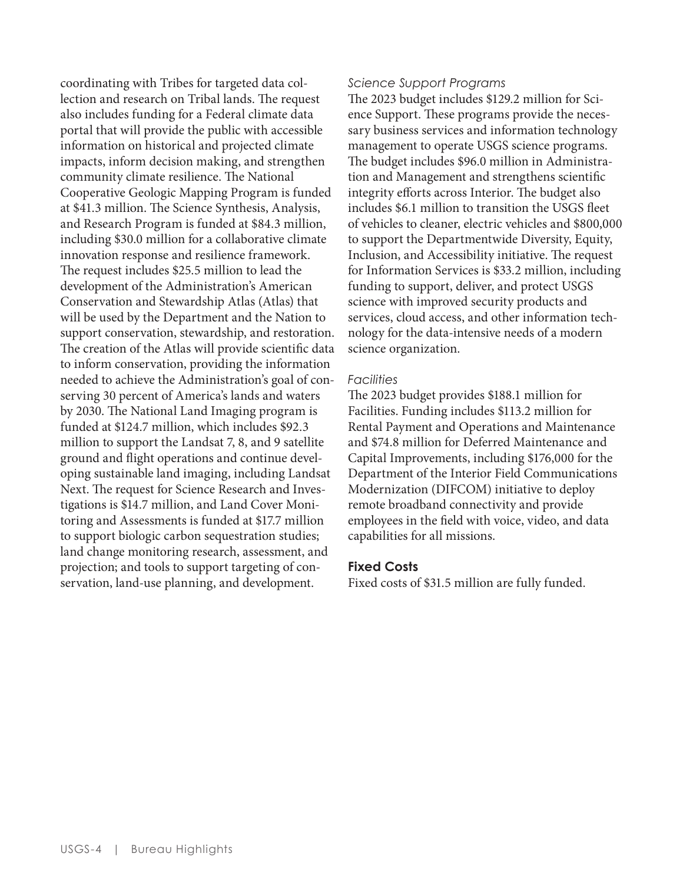coordinating with Tribes for targeted data collection and research on Tribal lands. The request also includes funding for a Federal climate data portal that will provide the public with accessible information on historical and projected climate impacts, inform decision making, and strengthen community climate resilience. The National Cooperative Geologic Mapping Program is funded at \$41.3 million. The Science Synthesis, Analysis, and Research Program is funded at \$84.3 million, including \$30.0 million for a collaborative climate innovation response and resilience framework. The request includes \$25.5 million to lead the development of the Administration's American Conservation and Stewardship Atlas (Atlas) that will be used by the Department and the Nation to support conservation, stewardship, and restoration. The creation of the Atlas will provide scientific data to inform conservation, providing the information needed to achieve the Administration's goal of conserving 30 percent of America's lands and waters by 2030. The National Land Imaging program is funded at \$124.7 million, which includes \$92.3 million to support the Landsat 7, 8, and 9 satellite ground and flight operations and continue developing sustainable land imaging, including Landsat Next. The request for Science Research and Investigations is \$14.7 million, and Land Cover Monitoring and Assessments is funded at \$17.7 million to support biologic carbon sequestration studies; land change monitoring research, assessment, and projection; and tools to support targeting of conservation, land-use planning, and development.

### *Science Support Programs*

The 2023 budget includes \$129.2 million for Science Support. These programs provide the necessary business services and information technology management to operate USGS science programs. The budget includes \$96.0 million in Administration and Management and strengthens scientific integrity efforts across Interior. The budget also includes \$6.1 million to transition the USGS fleet of vehicles to cleaner, electric vehicles and \$800,000 to support the Departmentwide Diversity, Equity, Inclusion, and Accessibility initiative. The request for Information Services is \$33.2 million, including funding to support, deliver, and protect USGS science with improved security products and services, cloud access, and other information technology for the data-intensive needs of a modern science organization.

## *Facilities*

The 2023 budget provides \$188.1 million for Facilities. Funding includes \$113.2 million for Rental Payment and Operations and Maintenance and \$74.8 million for Deferred Maintenance and Capital Improvements, including \$176,000 for the Department of the Interior Field Communications Modernization (DIFCOM) initiative to deploy remote broadband connectivity and provide employees in the field with voice, video, and data capabilities for all missions.

## **Fixed Costs**

Fixed costs of \$31.5 million are fully funded.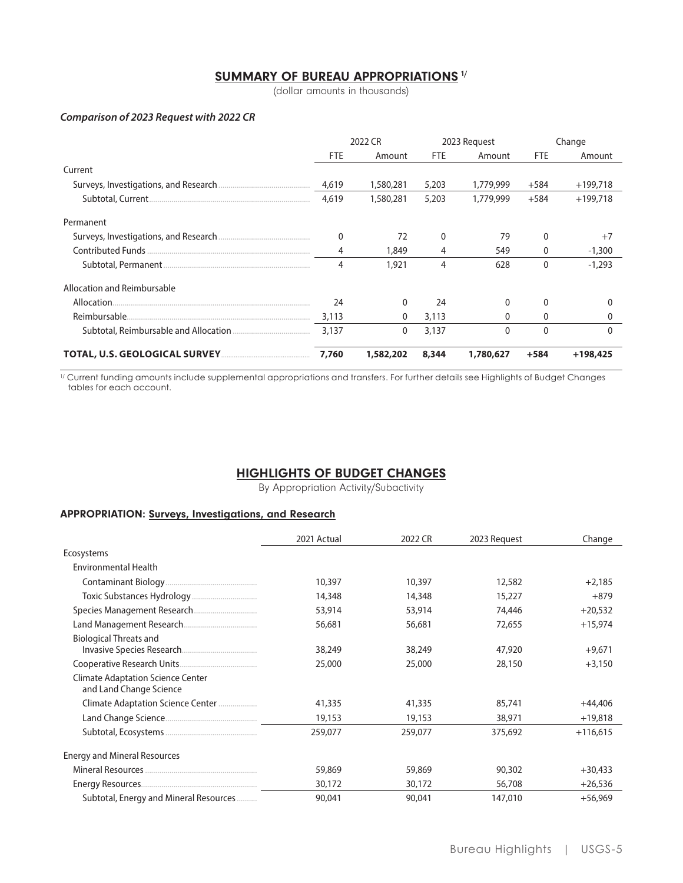## **SUMMARY OF BUREAU APPROPRIATIONS 1/**

(dollar amounts in thousands)

#### Comparison of 2023 Request with 2022 CR

|                             | 2022 CR    |             | 2023 Request |              | Change       |            |
|-----------------------------|------------|-------------|--------------|--------------|--------------|------------|
|                             | <b>FTE</b> | Amount      | <b>FTE</b>   | Amount       | FTE          | Amount     |
| Current                     |            |             |              |              |              |            |
|                             | 4,619      | 1,580,281   | 5,203        | 1,779,999    | $+584$       | $+199,718$ |
|                             | 4,619      | 1,580,281   | 5,203        | 1,779,999    | $+584$       | $+199,718$ |
| Permanent                   |            |             |              |              |              |            |
|                             | $\Omega$   | 72          |              | 79           |              | $+7$       |
|                             | 4          | 1,849       | 4            | 549          | 0            | $-1,300$   |
|                             | 4          | 1,921       | 4            | 628          | $\mathbf{0}$ | $-1,293$   |
| Allocation and Reimbursable |            |             |              |              |              |            |
|                             | 24         | $\Omega$    | 24           | 0            | 0            |            |
|                             | 3,113      | 0           | 3,113        | 0            | 0            |            |
|                             | 3.137      | $\mathbf 0$ | 3,137        | $\mathbf{0}$ | $\mathbf{0}$ | 0          |
|                             | 7.760      | 1,582,202   | 8,344        | 1,780,627    | $+584$       | $+198.425$ |

<sup>1/</sup> Current funding amounts include supplemental appropriations and transfers. For further details see Highlights of Budget Changes tables for each account.

## **HIGHLIGHTS OF BUDGET CHANGES**

By Appropriation Activity/Subactivity

### **APPROPRIATION: Surveys, Investigations, and Research**

|                                                                     | 2021 Actual | 2022 CR | 2023 Request | Change     |
|---------------------------------------------------------------------|-------------|---------|--------------|------------|
| Ecosystems                                                          |             |         |              |            |
| <b>Environmental Health</b>                                         |             |         |              |            |
|                                                                     | 10,397      | 10,397  | 12,582       | $+2,185$   |
|                                                                     | 14,348      | 14,348  | 15,227       | $+879$     |
|                                                                     | 53,914      | 53,914  | 74,446       | $+20,532$  |
|                                                                     | 56,681      | 56,681  | 72,655       | $+15,974$  |
| <b>Biological Threats and</b>                                       | 38,249      | 38,249  | 47,920       | $+9,671$   |
|                                                                     | 25,000      | 25,000  | 28,150       | $+3,150$   |
| <b>Climate Adaptation Science Center</b><br>and Land Change Science |             |         |              |            |
| Climate Adaptation Science Center                                   | 41,335      | 41,335  | 85,741       | $+44.406$  |
|                                                                     | 19,153      | 19,153  | 38,971       | $+19,818$  |
|                                                                     | 259,077     | 259,077 | 375,692      | $+116,615$ |
| <b>Energy and Mineral Resources</b>                                 |             |         |              |            |
|                                                                     | 59,869      | 59,869  | 90,302       | $+30,433$  |
|                                                                     | 30,172      | 30,172  | 56,708       | $+26,536$  |
| Subtotal, Energy and Mineral Resources                              | 90,041      | 90,041  | 147,010      | $+56.969$  |